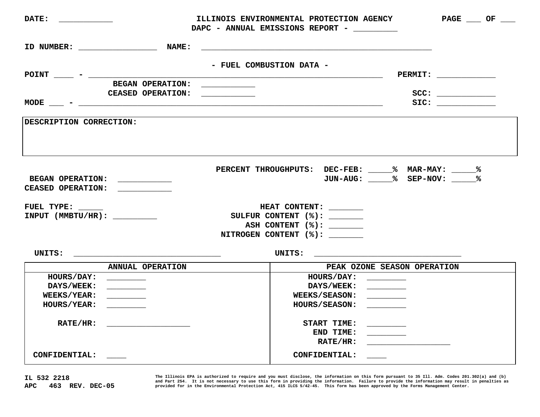|                                                                                                                                              |                                                                                                                       | ILLINOIS ENVIRONMENTAL PROTECTION AGENCY<br>$PAGE$ OF __<br>DAPC - ANNUAL EMISSIONS REPORT -                          |  |  |
|----------------------------------------------------------------------------------------------------------------------------------------------|-----------------------------------------------------------------------------------------------------------------------|-----------------------------------------------------------------------------------------------------------------------|--|--|
|                                                                                                                                              | <b>NAME :</b>                                                                                                         |                                                                                                                       |  |  |
| $POINT$ - $\frac{1}{2}$                                                                                                                      | - FUEL COMBUSTION DATA -                                                                                              | <u> 1990 - Johann John Barn, mars et al. 1990 - John Barn Barn, mars et al. 1991 - 1991 - 1991 - 1991 - 1991 - 19</u> |  |  |
| <b>BEGAN OPERATION:</b>                                                                                                                      | <u> 1999 - Johann Harry Harry Harry Harry Harry Harry Harry Harry Harry Harry Harry Harry Harry Harry Harry Harry</u> |                                                                                                                       |  |  |
|                                                                                                                                              | CEASED OPERATION: ____________                                                                                        |                                                                                                                       |  |  |
| $MODE -$                                                                                                                                     |                                                                                                                       |                                                                                                                       |  |  |
| DESCRIPTION CORRECTION:                                                                                                                      |                                                                                                                       |                                                                                                                       |  |  |
| BEGAN OPERATION: ____________<br>CEASED OPERATION: \\strace\\end{\strace\\strace\\strace\\strace\\strace\\strace\\strace\\strace\\str        |                                                                                                                       | PERCENT THROUGHPUTS: DEC-FEB: 18 MAR-MAY: 1888                                                                        |  |  |
| FUEL TYPE: _____                                                                                                                             |                                                                                                                       | HEAT CONTENT:                                                                                                         |  |  |
| $INPUT$ (MMBTU/HR):                                                                                                                          |                                                                                                                       | SULFUR CONTENT (%): ________                                                                                          |  |  |
|                                                                                                                                              |                                                                                                                       | ASH CONTENT (%): _______                                                                                              |  |  |
|                                                                                                                                              |                                                                                                                       | NITROGEN CONTENT (%): _______                                                                                         |  |  |
| UNITS:                                                                                                                                       |                                                                                                                       | UNITS: $\qquad \qquad \qquad$                                                                                         |  |  |
| ANNUAL OPERATION                                                                                                                             |                                                                                                                       | PEAK OZONE SEASON OPERATION                                                                                           |  |  |
| <b>HOURS/DAY:</b><br><u> Constantinople de la provincia de la provincia de la provincia de la provincia de la provincia de la provincia </u> |                                                                                                                       | HOURS/DAY: ________                                                                                                   |  |  |
| <b>DAYS/WEEK:</b>                                                                                                                            |                                                                                                                       | DAYS/WEEK: ________                                                                                                   |  |  |
| <b>WEEKS/YEAR:</b>                                                                                                                           |                                                                                                                       | WEEKS/SEASON: _______                                                                                                 |  |  |
| <b>HOURS/YEAR:</b>                                                                                                                           |                                                                                                                       | HOURS/SEASON: ______                                                                                                  |  |  |
| RATE/HR:                                                                                                                                     |                                                                                                                       | START TIME: ________                                                                                                  |  |  |
|                                                                                                                                              |                                                                                                                       | END TIME: $\_\_$                                                                                                      |  |  |
|                                                                                                                                              |                                                                                                                       | $\mathtt{RATE/HR}$ :                                                                                                  |  |  |
| CONFIDENTIAL: ____                                                                                                                           |                                                                                                                       | CONFIDENTIAL: ___                                                                                                     |  |  |

**IL 532 2218 APC 463 REV. DEC-05**  The Illinois EPA is authorized to require and you must disclose, the information on this form pursuant to 35 Ill. Adm. Codes 201.302(a) and (b)<br>and Part 254. It is not necessary to use this form in providing the informatio